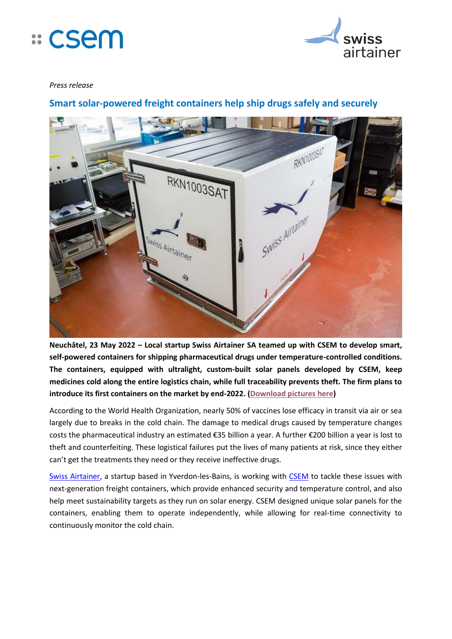



## *Press release*

# **Smart solar-powered freight containers help ship drugs safely and securely**



**Neuchâtel, 23 May 2022 – Local startup Swiss Airtainer SA teamed up with CSEM to develop smart, self-powered containers for shipping pharmaceutical drugs under temperature-controlled conditions. The containers, equipped with ultralight, custom-built solar panels developed by CSEM, keep medicines cold along the entire logistics chain, while full traceability prevents theft. The firm plans to introduce its first containers on the market by end-2022. [\(Download pictures here\)](https://owncloud.csem.ch/owncloud/index.php/s/IwjCqZYcWFh701O)**

According to the World Health Organization, nearly 50% of vaccines lose efficacy in transit via air or sea largely due to breaks in the cold chain. The damage to medical drugs caused by temperature changes costs the pharmaceutical industry an estimated €35 billion a year. A further €200 billion a year is lost to theft and counterfeiting. These logistical failures put the lives of many patients at risk, since they either can't get the treatments they need or they receive ineffective drugs.

[Swiss Airtainer,](https://www.swissairtainer.com/) a startup based in Yverdon-les-Bains, is working with [CSEM](https://www.csem.ch/Home) to tackle these issues with next-generation freight containers, which provide enhanced security and temperature control, and also help meet sustainability targets as they run on solar energy. CSEM designed unique solar panels for the containers, enabling them to operate independently, while allowing for real-time connectivity to continuously monitor the cold chain.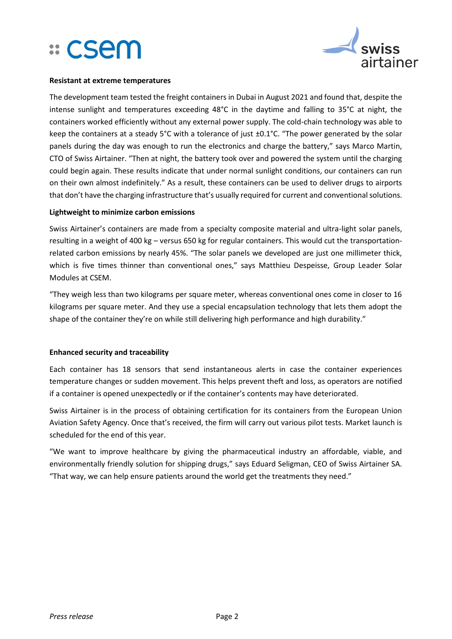



### **Resistant at extreme temperatures**

The development team tested the freight containers in Dubai in August 2021 and found that, despite the intense sunlight and temperatures exceeding 48°C in the daytime and falling to 35°C at night, the containers worked efficiently without any external power supply. The cold-chain technology was able to keep the containers at a steady 5°C with a tolerance of just ±0.1°C. "The power generated by the solar panels during the day was enough to run the electronics and charge the battery," says Marco Martin, CTO of Swiss Airtainer. "Then at night, the battery took over and powered the system until the charging could begin again. These results indicate that under normal sunlight conditions, our containers can run on their own almost indefinitely." As a result, these containers can be used to deliver drugs to airports that don't have the charging infrastructure that's usually required for current and conventional solutions.

# **Lightweight to minimize carbon emissions**

Swiss Airtainer's containers are made from a specialty composite material and ultra-light solar panels, resulting in a weight of 400 kg – versus 650 kg for regular containers. This would cut the transportationrelated carbon emissions by nearly 45%. "The solar panels we developed are just one millimeter thick, which is five times thinner than conventional ones," says Matthieu Despeisse, Group Leader Solar Modules at CSEM.

"They weigh less than two kilograms per square meter, whereas conventional ones come in closer to 16 kilograms per square meter. And they use a special encapsulation technology that lets them adopt the shape of the container they're on while still delivering high performance and high durability."

# **Enhanced security and traceability**

Each container has 18 sensors that send instantaneous alerts in case the container experiences temperature changes or sudden movement. This helps prevent theft and loss, as operators are notified if a container is opened unexpectedly or if the container's contents may have deteriorated.

Swiss Airtainer is in the process of obtaining certification for its containers from the European Union Aviation Safety Agency. Once that's received, the firm will carry out various pilot tests. Market launch is scheduled for the end of this year.

"We want to improve healthcare by giving the pharmaceutical industry an affordable, viable, and environmentally friendly solution for shipping drugs," says Eduard Seligman, CEO of Swiss Airtainer SA. "That way, we can help ensure patients around the world get the treatments they need."